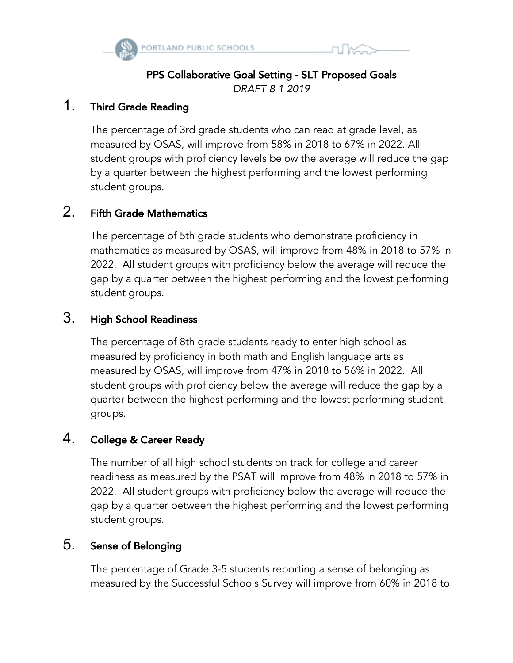

#### PPS Collaborative Goal Setting - SLT Proposed Goals

*DRAFT 8 1 2019*

## 1. Third Grade Reading

The percentage of 3rd grade students who can read at grade level, as measured by OSAS, will improve from 58% in 2018 to 67% in 2022. All student groups with proficiency levels below the average will reduce the gap by a quarter between the highest performing and the lowest performing student groups.

# 2. Fifth Grade Mathematics

The percentage of 5th grade students who demonstrate proficiency in mathematics as measured by OSAS, will improve from 48% in 2018 to 57% in 2022. All student groups with proficiency below the average will reduce the gap by a quarter between the highest performing and the lowest performing student groups.

# 3. High School Readiness

The percentage of 8th grade students ready to enter high school as measured by proficiency in both math and English language arts as measured by OSAS, will improve from 47% in 2018 to 56% in 2022. All student groups with proficiency below the average will reduce the gap by a quarter between the highest performing and the lowest performing student groups.

#### 4. College & Career Ready

The number of all high school students on track for college and career readiness as measured by the PSAT will improve from 48% in 2018 to 57% in 2022. All student groups with proficiency below the average will reduce the gap by a quarter between the highest performing and the lowest performing student groups.

# 5. Sense of Belonging

The percentage of Grade 3-5 students reporting a sense of belonging as measured by the Successful Schools Survey will improve from 60% in 2018 to